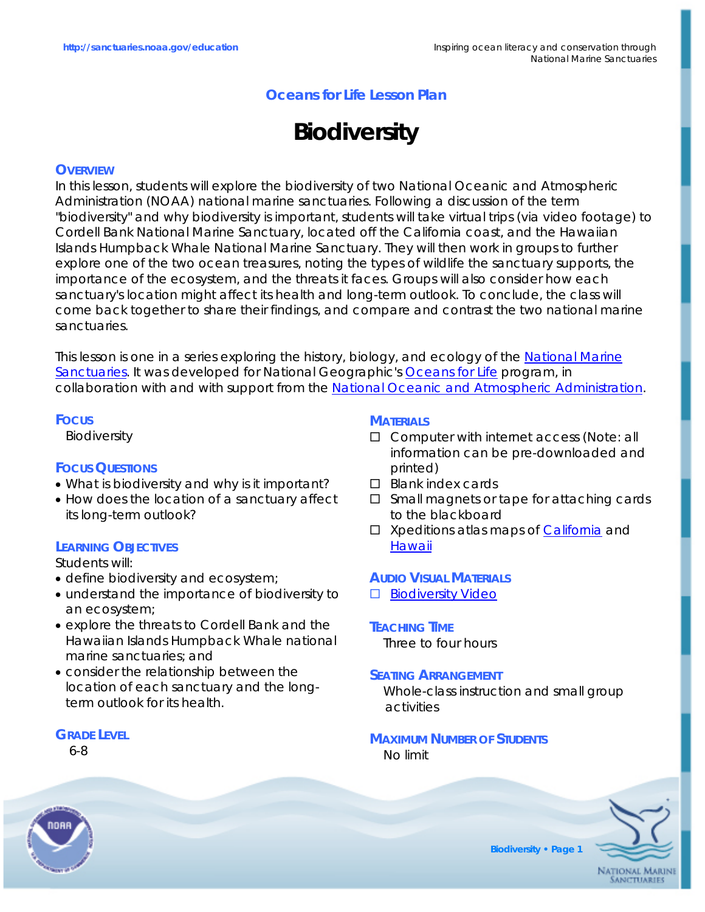# **Oceans for Life Lesson Plan**

# **Biodiversity**

## **OVERVIEW**

In this lesson, students will explore the biodiversity of two National Oceanic and Atmospheric Administration (NOAA) national marine sanctuaries. Following a discussion of the term "biodiversity" and why biodiversity is important, students will take virtual trips (via video footage) to Cordell Bank National Marine Sanctuary, located off the California coast, and the Hawaiian Islands Humpback Whale National Marine Sanctuary. They will then work in groups to further explore one of the two ocean treasures, noting the types of wildlife the sanctuary supports, the importance of the ecosystem, and the threats it faces. Groups will also consider how each sanctuary's location might affect its health and long-term outlook. To conclude, the class will come back together to share their findings, and compare and contrast the two national marine sanctuaries.

This lesson is one in a series exploring the history, biology, and ecology of the [National Marine](http://www.sanctuaries.noaa.gov)  [Sanctuaries.](http://www.sanctuaries.noaa.gov) It was developed for National Geographic's [Oceans for Life](http://www.ngsednet.org/community/index.cfm?community_id=128) program, in collaboration with and with support from the [National Oceanic and Atmospheric Administration](http://www.noaa.gov).

#### **FOCUS**

Biodiversity

# **FOCUS QUESTIONS**

- What is biodiversity and why is it important?
- How does the location of a sanctuary affect its long-term outlook?

## **LEARNING OBJECTIVES**

Students will:

- define biodiversity and ecosystem;
- understand the importance of biodiversity to an ecosystem;
- explore the threats to Cordell Bank and the Hawaiian Islands Humpback Whale national marine sanctuaries; and
- consider the relationship between the location of each sanctuary and the longterm outlook for its health.

## **GRADE LEVEL**

6-8

## **MATERIALS**

- □ Computer with internet access (Note: all information can be pre-downloaded and printed)
- $\square$  Blank index cards
- □ Small magnets or tape for attaching cards to the blackboard
- *Xpeditions* atlas maps of [California](http://www.nationalgeographic.com/xpeditions/atlas/index.html?Parent=usofam&Rootmap=usca&Mode=d&SubMode=w) and **[Hawaii](http://www.nationalgeographic.com/xpeditions/atlas/index.html?Parent=usofam&Rootmap=usha&Mode=d&SubMode=w)**

#### **AUDIO VISUAL MATERIALS**

- □ [Biodiversity Video](http://mm.coexploration.org/video/tcoe/vtw06/bbflv/index.html)
- **TEACHING TIME** Three to four hours

#### **SEATING ARRANGEMENT**

Whole-class instruction and small group activities

# **MAXIMUM NUMBER OF STUDENTS**

No limit



**Biodiversity • Page 1**

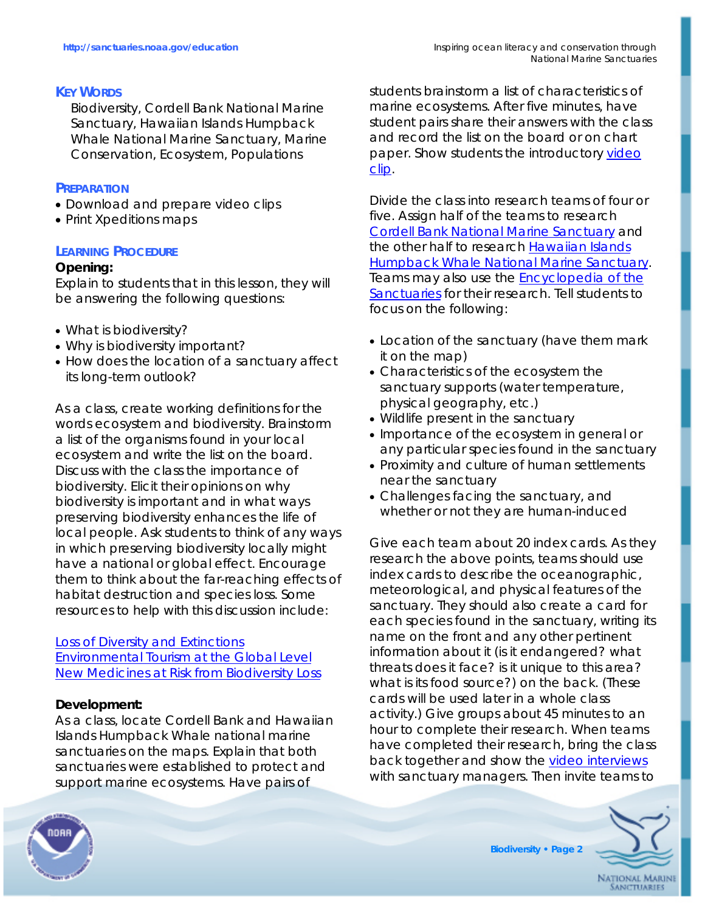## **KEY WORDS**

Biodiversity, Cordell Bank National Marine Sanctuary, Hawaiian Islands Humpback Whale National Marine Sanctuary, Marine Conservation, Ecosystem, Populations

## **PREPARATION**

- Download and prepare video clips
- Print *Xpeditions* maps

## **LEARNING PROCEDURE**

## **Opening:**

Explain to students that in this lesson, they will be answering the following questions:

- What is biodiversity?
- Why is biodiversity important?
- How does the location of a sanctuary affect its long-term outlook?

As a class, create working definitions for the words *ecosystem* and *biodiversity*. Brainstorm a list of the organisms found in your local ecosystem and write the list on the board. Discuss with the class the importance of biodiversity. Elicit their opinions on why biodiversity is important and in what ways preserving biodiversity enhances the life of local people. Ask students to think of any ways in which preserving biodiversity locally might have a national or global effect. Encourage them to think about the far-reaching effects of habitat destruction and species loss. Some resources to help with this discussion include:

[Loss of Diversity and Extinctions](http://www.globalissues.org/EnvIssues/Biodiversity/Loss.asp#LongTermCosts) [Environmental Tourism at the Global Level](http://www.uneptie.org/pc/tourism/sust-tourism/env-global.htm) [New Medicines at Risk from Biodiversity Loss](http://www.sciencedaily.com/releases/2003/10/031017073822.htm)

## **Development:**

As a class, locate Cordell Bank and Hawaiian Islands Humpback Whale national marine sanctuaries on the maps. Explain that both sanctuaries were established to protect and support marine ecosystems. Have pairs of

students brainstorm a list of characteristics of marine ecosystems. After five minutes, have student pairs share their answers with the class and record the list on the board or on chart paper. Show students the introductory [video](http://mm.coexploration.org/video/tcoe/vtw06/bbflv/index.html)  [clip](http://mm.coexploration.org/video/tcoe/vtw06/bbflv/index.html).

Divide the class into research teams of four or five. Assign half of the teams to research [Cordell Bank National Marine Sanctuary](http://www.cordellbank.noaa.gov) and the other half to research Hawaiian Islands **[Humpback Whale National Marine Sanctuary](http://hawaiihumpbackwhale.noaa.gov).** Teams may also use the **Encyclopedia of the** [Sanctuaries](http://marinelife.noaa.gov) for their research. Tell students to focus on the following:

- Location of the sanctuary (have them mark it on the map)
- Characteristics of the ecosystem the sanctuary supports (water temperature, physical geography, etc.)
- Wildlife present in the sanctuary
- Importance of the ecosystem in general or any particular species found in the sanctuary
- Proximity and culture of human settlements near the sanctuary
- Challenges facing the sanctuary, and whether or not they are human-induced

Give each team about 20 index cards. As they research the above points, teams should use index cards to describe the oceanographic, meteorological, and physical features of the sanctuary. They should also create a card for each species found in the sanctuary, writing its name on the front and any other pertinent information about it (is it endangered? what threats does it face? is it unique to this area? what is its food source?) on the back. (These cards will be used later in a whole class activity.) Give groups about 45 minutes to an hour to complete their research. When teams have completed their research, bring the class back together and show the [video interviews](http://mm.coexploration.org/video/tcoe/vtw06/bbflv/index.html) with sanctuary managers. Then invite teams to



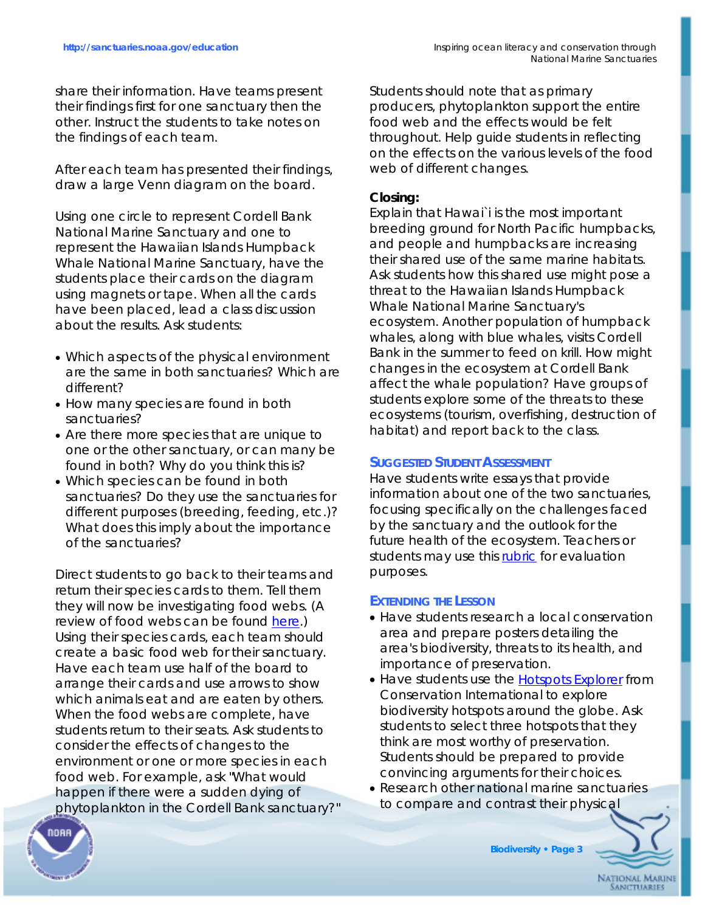share their information. Have teams present their findings first for one sanctuary then the other. Instruct the students to take notes on the findings of each team.

After each team has presented their findings, draw a large Venn diagram on the board.

Using one circle to represent Cordell Bank National Marine Sanctuary and one to represent the Hawaiian Islands Humpback Whale National Marine Sanctuary, have the students place their cards on the diagram using magnets or tape. When all the cards have been placed, lead a class discussion about the results. Ask students:

- Which aspects of the physical environment are the same in both sanctuaries? Which are different?
- How many species are found in both sanctuaries?
- Are there more species that are unique to one or the other sanctuary, or can many be found in both? Why do you think this is?
- Which species can be found in both sanctuaries? Do they use the sanctuaries for different purposes (breeding, feeding, etc.)? What does this imply about the importance of the sanctuaries?

Direct students to go back to their teams and return their species cards to them. Tell them they will now be investigating food webs. (A review of food webs can be found [here](http://www.vtaide.com/png/foodchains.htm).) Using their species cards, each team should create a basic food web for their sanctuary. Have each team use half of the board to arrange their cards and use arrows to show which animals eat and are eaten by others. When the food webs are complete, have students return to their seats. Ask students to consider the effects of changes to the environment or one or more species in each food web. For example, ask "What would happen if there were a sudden dying of phytoplankton in the Cordell Bank sanctuary?" Students should note that as primary producers, phytoplankton support the entire food web and the effects would be felt throughout. Help guide students in reflecting on the effects on the various levels of the food web of different changes.

## **Closing:**

Explain that Hawai`i is the most important breeding ground for North Pacific humpbacks, and people and humpbacks are increasing their shared use of the same marine habitats. Ask students how this shared use might pose a threat to the Hawaiian Islands Humpback Whale National Marine Sanctuary's ecosystem. Another population of humpback whales, along with blue whales, visits Cordell Bank in the summer to feed on krill. How might changes in the ecosystem at Cordell Bank affect the whale population? Have groups of students explore some of the threats to these ecosystems (tourism, overfishing, destruction of habitat) and report back to the class.

# **SUGGESTED STUDENT ASSESSMENT**

Have students write essays that provide information about one of the two sanctuaries, focusing specifically on the challenges faced by the sanctuary and the outlook for the future health of the ecosystem. Teachers or students may use this [rubric](http://interactives.mped.org/rubric726.aspx) for evaluation purposes.

# **EXTENDING THE LESSON**

- Have students research a local conservation area and prepare posters detailing the area's biodiversity, threats to its health, and importance of preservation.
- Have students use the [Hotspots Explorer](http://www.biodiversityhotspots.org/xp/Hotspots) from Conservation International to explore biodiversity hotspots around the globe. Ask students to select three hotspots that they think are most worthy of preservation. Students should be prepared to provide convincing arguments for their choices.
- Research other national marine sanctuaries to compare and contrast their physical